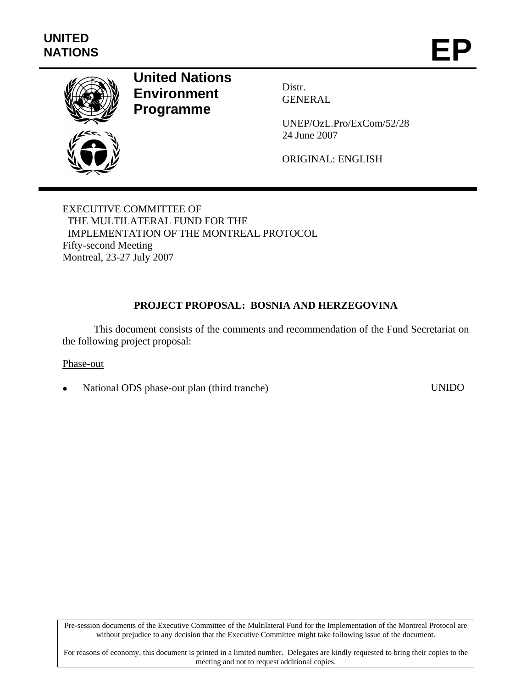

# **United Nations Environment Programme**

Distr. GENERAL

UNEP/OzL.Pro/ExCom/52/28 24 June 2007

ORIGINAL: ENGLISH

EXECUTIVE COMMITTEE OF THE MULTILATERAL FUND FOR THE IMPLEMENTATION OF THE MONTREAL PROTOCOL Fifty-second Meeting Montreal, 23-27 July 2007

## **PROJECT PROPOSAL: BOSNIA AND HERZEGOVINA**

This document consists of the comments and recommendation of the Fund Secretariat on the following project proposal:

#### Phase-out

• National ODS phase-out plan (third tranche) UNIDO

Pre-session documents of the Executive Committee of the Multilateral Fund for the Implementation of the Montreal Protocol are without prejudice to any decision that the Executive Committee might take following issue of the document.

For reasons of economy, this document is printed in a limited number. Delegates are kindly requested to bring their copies to the meeting and not to request additional copies.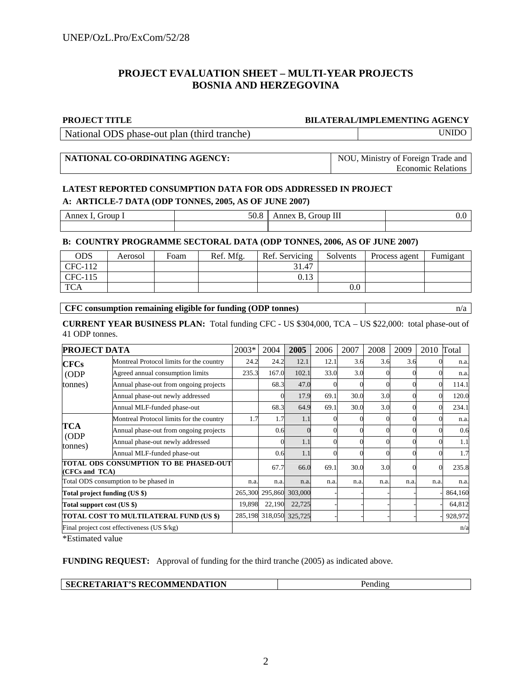## **PROJECT EVALUATION SHEET – MULTI-YEAR PROJECTS BOSNIA AND HERZEGOVINA**

#### **PROJECT TITLE BILATERAL/IMPLEMENTING AGENCY**

National ODS phase-out plan (third tranche) UNIDO

## **NATIONAL CO-ORDINATING AGENCY:** NOU, Ministry of Foreign Trade and

Economic Relations

### **LATEST REPORTED CONSUMPTION DATA FOR ODS ADDRESSED IN PROJECT A: ARTICLE-7 DATA (ODP TONNES, 2005, AS OF JUNE 2007)**

| -<br>$\sim$ | $ -$ | <b>TYY</b><br>--------<br>ш | $\cdot$ |
|-------------|------|-----------------------------|---------|
|             |      |                             |         |

#### **B: COUNTRY PROGRAMME SECTORAL DATA (ODP TONNES, 2006, AS OF JUNE 2007)**

| ODS        | Aerosol | Foam | Ref. Mfg. | Ref. Servicing | Solvents | Process agent | Fumigant |
|------------|---------|------|-----------|----------------|----------|---------------|----------|
| CFC-112    |         |      |           | 31.47          |          |               |          |
| CFC-115    |         |      |           | 0.13           |          |               |          |
| <b>TCA</b> |         |      |           |                | $0.0\,$  |               |          |

#### **CFC consumption remaining eligible for funding (ODP tonnes)** n/a

**CURRENT YEAR BUSINESS PLAN:** Total funding CFC - US \$304,000, TCA – US \$22,000: total phase-out of 41 ODP tonnes.

| <b>PROJECT DATA</b>                                      |                                          | 2003*   | 2004    | 2005                    | 2006 | 2007 | 2008 | 2009 | 2010 | Total   |
|----------------------------------------------------------|------------------------------------------|---------|---------|-------------------------|------|------|------|------|------|---------|
| <b>CFCs</b>                                              | Montreal Protocol limits for the country | 24.2    | 24.2    | 12.1                    | 12.1 | 3.6  | 3.6  | 3.6  |      | n.a.    |
| ODP<br>tonnes)                                           | Agreed annual consumption limits         | 235.3   | 167.0   | 102.1                   | 33.0 | 3.0  |      |      |      | n.a.    |
|                                                          | Annual phase-out from ongoing projects   |         | 68.3    | 47.0                    |      |      |      |      |      | 114.1   |
|                                                          | Annual phase-out newly addressed         |         |         | 17.9                    | 69.1 | 30.0 | 3.0  |      |      | 120.0   |
|                                                          | Annual MLF-funded phase-out              |         | 68.3    | 64.9                    | 69.1 | 30.0 | 3.0  |      |      | 234.1   |
|                                                          | Montreal Protocol limits for the country | 1.7     | 1.7     | 1.1                     |      |      |      |      |      | n.a.    |
| TCA<br>ODP<br>tonnes)                                    | Annual phase-out from ongoing projects   |         | 0.6     |                         |      |      |      |      |      | 0.6     |
|                                                          | Annual phase-out newly addressed         |         |         | 1.1                     |      |      |      |      |      | 1.1     |
|                                                          | Annual MLF-funded phase-out              |         | 0.6     | 1.1                     |      |      |      |      |      | 1.7     |
| TOTAL ODS CONSUMPTION TO BE PHASED-OUT<br>(CFCs and TCA) |                                          |         | 67.7    | 66.0                    | 69.1 | 30.0 | 3.0  |      |      | 235.8   |
| Total ODS consumption to be phased in                    |                                          | n.a.    | n.a.    | n.a.                    | n.a. | n.a. | n.a. | n.a. | n.a. | n.a.    |
| Total project funding (US \$)                            |                                          | 265,300 | 295,860 | 303,000                 |      |      |      |      |      | 864,160 |
| Total support cost (US \$)                               |                                          | 19,898  | 22,190  | 22,725                  |      |      |      |      |      | 64,812  |
| TOTAL COST TO MULTILATERAL FUND (US \$)                  |                                          |         |         | 285,198 318,050 325,725 |      |      |      |      |      | 928,972 |
| Final project cost effectiveness (US \$/kg)              |                                          |         |         |                         |      | n/a  |      |      |      |         |

\*Estimated value

**FUNDING REQUEST:** Approval of funding for the third tranche (2005) as indicated above.

| <b>SECRETARIAT'S RECOMMENDATION</b> | Pending |
|-------------------------------------|---------|
|-------------------------------------|---------|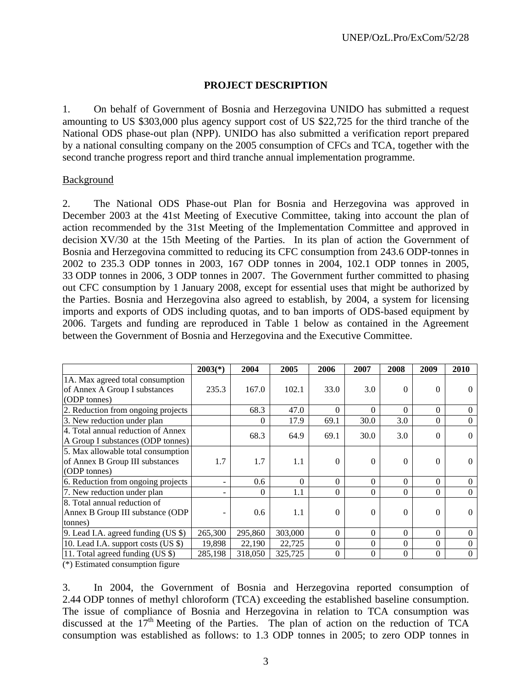## **PROJECT DESCRIPTION**

1. On behalf of Government of Bosnia and Herzegovina UNIDO has submitted a request amounting to US \$303,000 plus agency support cost of US \$22,725 for the third tranche of the National ODS phase-out plan (NPP). UNIDO has also submitted a verification report prepared by a national consulting company on the 2005 consumption of CFCs and TCA, together with the second tranche progress report and third tranche annual implementation programme.

## Background

2. The National ODS Phase-out Plan for Bosnia and Herzegovina was approved in December 2003 at the 41st Meeting of Executive Committee, taking into account the plan of action recommended by the 31st Meeting of the Implementation Committee and approved in decision XV/30 at the 15th Meeting of the Parties. In its plan of action the Government of Bosnia and Herzegovina committed to reducing its CFC consumption from 243.6 ODP-tonnes in 2002 to 235.3 ODP tonnes in 2003, 167 ODP tonnes in 2004, 102.1 ODP tonnes in 2005, 33 ODP tonnes in 2006, 3 ODP tonnes in 2007. The Government further committed to phasing out CFC consumption by 1 January 2008, except for essential uses that might be authorized by the Parties. Bosnia and Herzegovina also agreed to establish, by 2004, a system for licensing imports and exports of ODS including quotas, and to ban imports of ODS-based equipment by 2006. Targets and funding are reproduced in Table 1 below as contained in the Agreement between the Government of Bosnia and Herzegovina and the Executive Committee.

|                                       | $2003(*)$ | 2004         | 2005    | 2006     | 2007     | 2008     | 2009     | 2010     |
|---------------------------------------|-----------|--------------|---------|----------|----------|----------|----------|----------|
| 1A. Max agreed total consumption      |           |              |         |          |          |          |          |          |
| of Annex A Group I substances         | 235.3     | 167.0        | 102.1   | 33.0     | 3.0      | $\Omega$ | 0        |          |
| (ODP tonnes)                          |           |              |         |          |          |          |          |          |
| 2. Reduction from ongoing projects    |           | 68.3         | 47.0    | $\theta$ | $\theta$ | $\Omega$ | $\Omega$ | 0        |
| 3. New reduction under plan           |           | $\Omega$     | 17.9    | 69.1     | 30.0     | 3.0      | $\theta$ | 0        |
| 4. Total annual reduction of Annex    |           | 68.3         | 64.9    | 69.1     | 30.0     | 3.0      | 0        | $\Omega$ |
| A Group I substances (ODP tonnes)     |           |              |         |          |          |          |          |          |
| 5. Max allowable total consumption    |           |              |         |          |          |          |          |          |
| of Annex B Group III substances       | 1.7       | 1.7          | 1.1     | $\theta$ | $\Omega$ | $\Omega$ | 0        |          |
| (ODP tonnes)                          |           |              |         |          |          |          |          |          |
| 6. Reduction from ongoing projects    |           | 0.6          | 0       | $\theta$ | $\theta$ | $\Omega$ | $\theta$ |          |
| 7. New reduction under plan           |           | $\mathbf{0}$ | 1.1     | $\theta$ | $\theta$ | $\Omega$ | 0        | $\theta$ |
| 8. Total annual reduction of          |           |              |         |          |          |          |          |          |
| Annex B Group III substance (ODP      |           | 0.6          | 1.1     | $\Omega$ | $\Omega$ | $\Omega$ | $\Omega$ |          |
| tonnes)                               |           |              |         |          |          |          |          |          |
| 9. Lead I.A. agreed funding $(US \$ ) | 265,300   | 295,860      | 303,000 | $\Omega$ | $\Omega$ | $\Omega$ | $\Omega$ | $\Omega$ |
| 10. Lead I.A. support costs (US \$)   | 19,898    | 22,190       | 22,725  | $\Omega$ | $\Omega$ | $\Omega$ | $\Omega$ | $\Omega$ |
| 11. Total agreed funding (US \$)      | 285,198   | 318,050      | 325,725 | $\theta$ | $\Omega$ | $\Omega$ | $\Omega$ | $\Omega$ |

(\*) Estimated consumption figure

3. In 2004, the Government of Bosnia and Herzegovina reported consumption of 2.44 ODP tonnes of methyl chloroform (TCA) exceeding the established baseline consumption. The issue of compliance of Bosnia and Herzegovina in relation to TCA consumption was discussed at the  $17<sup>th</sup>$  Meeting of the Parties. The plan of action on the reduction of TCA consumption was established as follows: to 1.3 ODP tonnes in 2005; to zero ODP tonnes in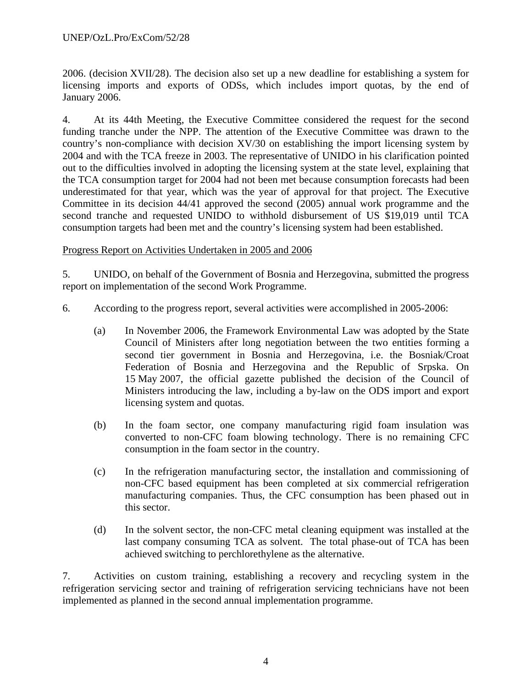2006. (decision XVII/28). The decision also set up a new deadline for establishing a system for licensing imports and exports of ODSs, which includes import quotas, by the end of January 2006.

4. At its 44th Meeting, the Executive Committee considered the request for the second funding tranche under the NPP. The attention of the Executive Committee was drawn to the country's non-compliance with decision XV/30 on establishing the import licensing system by 2004 and with the TCA freeze in 2003. The representative of UNIDO in his clarification pointed out to the difficulties involved in adopting the licensing system at the state level, explaining that the TCA consumption target for 2004 had not been met because consumption forecasts had been underestimated for that year, which was the year of approval for that project. The Executive Committee in its decision 44/41 approved the second (2005) annual work programme and the second tranche and requested UNIDO to withhold disbursement of US \$19,019 until TCA consumption targets had been met and the country's licensing system had been established.

## Progress Report on Activities Undertaken in 2005 and 2006

5. UNIDO, on behalf of the Government of Bosnia and Herzegovina, submitted the progress report on implementation of the second Work Programme.

- 6. According to the progress report, several activities were accomplished in 2005-2006:
	- (a) In November 2006, the Framework Environmental Law was adopted by the State Council of Ministers after long negotiation between the two entities forming a second tier government in Bosnia and Herzegovina, i.e. the Bosniak/Croat Federation of Bosnia and Herzegovina and the Republic of Srpska. On 15 May 2007, the official gazette published the decision of the Council of Ministers introducing the law, including a by-law on the ODS import and export licensing system and quotas.
	- (b) In the foam sector, one company manufacturing rigid foam insulation was converted to non-CFC foam blowing technology. There is no remaining CFC consumption in the foam sector in the country.
	- (c) In the refrigeration manufacturing sector, the installation and commissioning of non-CFC based equipment has been completed at six commercial refrigeration manufacturing companies. Thus, the CFC consumption has been phased out in this sector.
	- (d) In the solvent sector, the non-CFC metal cleaning equipment was installed at the last company consuming TCA as solvent. The total phase-out of TCA has been achieved switching to perchlorethylene as the alternative.

7. Activities on custom training, establishing a recovery and recycling system in the refrigeration servicing sector and training of refrigeration servicing technicians have not been implemented as planned in the second annual implementation programme.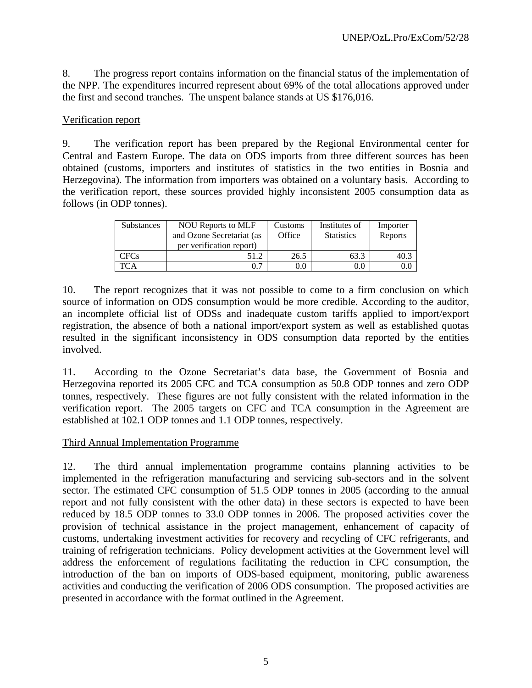8. The progress report contains information on the financial status of the implementation of the NPP. The expenditures incurred represent about 69% of the total allocations approved under the first and second tranches. The unspent balance stands at US \$176,016.

## Verification report

9. The verification report has been prepared by the Regional Environmental center for Central and Eastern Europe. The data on ODS imports from three different sources has been obtained (customs, importers and institutes of statistics in the two entities in Bosnia and Herzegovina). The information from importers was obtained on a voluntary basis. According to the verification report, these sources provided highly inconsistent 2005 consumption data as follows (in ODP tonnes).

| Substances | <b>NOU Reports to MLF</b><br>and Ozone Secretariat (as<br>per verification report) | Customs<br>Office | Institutes of<br><b>Statistics</b> | Importer<br>Reports |
|------------|------------------------------------------------------------------------------------|-------------------|------------------------------------|---------------------|
| CFCs       | 51.2                                                                               | 26.5              | 63.3                               |                     |
|            |                                                                                    | 0.0               | $0.0\,$                            |                     |

10. The report recognizes that it was not possible to come to a firm conclusion on which source of information on ODS consumption would be more credible. According to the auditor, an incomplete official list of ODSs and inadequate custom tariffs applied to import/export registration, the absence of both a national import/export system as well as established quotas resulted in the significant inconsistency in ODS consumption data reported by the entities involved.

11. According to the Ozone Secretariat's data base, the Government of Bosnia and Herzegovina reported its 2005 CFC and TCA consumption as 50.8 ODP tonnes and zero ODP tonnes, respectively. These figures are not fully consistent with the related information in the verification report. The 2005 targets on CFC and TCA consumption in the Agreement are established at 102.1 ODP tonnes and 1.1 ODP tonnes, respectively.

## Third Annual Implementation Programme

12. The third annual implementation programme contains planning activities to be implemented in the refrigeration manufacturing and servicing sub-sectors and in the solvent sector. The estimated CFC consumption of 51.5 ODP tonnes in 2005 (according to the annual report and not fully consistent with the other data) in these sectors is expected to have been reduced by 18.5 ODP tonnes to 33.0 ODP tonnes in 2006. The proposed activities cover the provision of technical assistance in the project management, enhancement of capacity of customs, undertaking investment activities for recovery and recycling of CFC refrigerants, and training of refrigeration technicians. Policy development activities at the Government level will address the enforcement of regulations facilitating the reduction in CFC consumption, the introduction of the ban on imports of ODS-based equipment, monitoring, public awareness activities and conducting the verification of 2006 ODS consumption. The proposed activities are presented in accordance with the format outlined in the Agreement.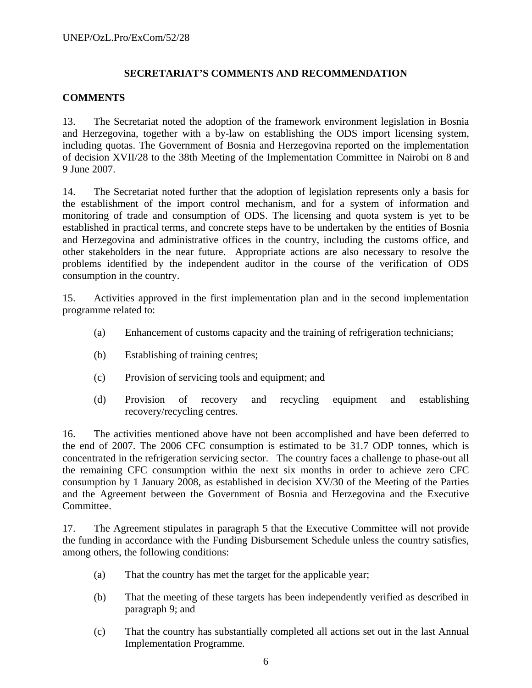## **SECRETARIAT'S COMMENTS AND RECOMMENDATION**

## **COMMENTS**

13. The Secretariat noted the adoption of the framework environment legislation in Bosnia and Herzegovina, together with a by-law on establishing the ODS import licensing system, including quotas. The Government of Bosnia and Herzegovina reported on the implementation of decision XVII/28 to the 38th Meeting of the Implementation Committee in Nairobi on 8 and 9 June 2007.

14. The Secretariat noted further that the adoption of legislation represents only a basis for the establishment of the import control mechanism, and for a system of information and monitoring of trade and consumption of ODS. The licensing and quota system is yet to be established in practical terms, and concrete steps have to be undertaken by the entities of Bosnia and Herzegovina and administrative offices in the country, including the customs office, and other stakeholders in the near future. Appropriate actions are also necessary to resolve the problems identified by the independent auditor in the course of the verification of ODS consumption in the country.

15. Activities approved in the first implementation plan and in the second implementation programme related to:

- (a) Enhancement of customs capacity and the training of refrigeration technicians;
- (b) Establishing of training centres;
- (c) Provision of servicing tools and equipment; and
- (d) Provision of recovery and recycling equipment and establishing recovery/recycling centres.

16. The activities mentioned above have not been accomplished and have been deferred to the end of 2007. The 2006 CFC consumption is estimated to be 31.7 ODP tonnes, which is concentrated in the refrigeration servicing sector. The country faces a challenge to phase-out all the remaining CFC consumption within the next six months in order to achieve zero CFC consumption by 1 January 2008, as established in decision XV/30 of the Meeting of the Parties and the Agreement between the Government of Bosnia and Herzegovina and the Executive Committee.

17. The Agreement stipulates in paragraph 5 that the Executive Committee will not provide the funding in accordance with the Funding Disbursement Schedule unless the country satisfies, among others, the following conditions:

- (a) That the country has met the target for the applicable year;
- (b) That the meeting of these targets has been independently verified as described in paragraph 9; and
- (c) That the country has substantially completed all actions set out in the last Annual Implementation Programme.